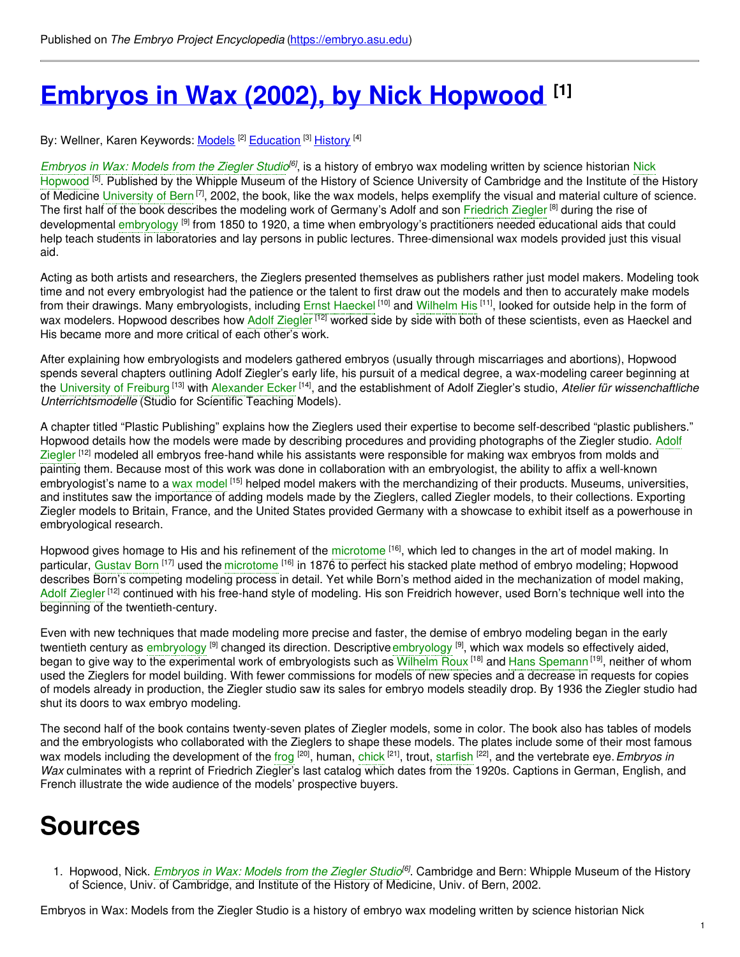# **Embryos in Wax (2002), by Nick [Hopwood](https://embryo.asu.edu/pages/embryos-wax-2002-nick-hopwood) [1]**

By: Wellner, Karen Keywords: <u>[Models](https://embryo.asu.edu/keywords/models)</u> <sup>[2]</sup> [Education](https://embryo.asu.edu/keywords/education) <sup>[3]</sup> [History](https://embryo.asu.edu/keywords/history) <sup>[4]</sup>

*[Embryos](https://embryo.asu.edu/search?text=Embryos%20in%20Wax%253A%20Models%20from%20the%20Ziegler%20Studio) in Wax: Models from the Ziegler Studio<sup>[6]</sup>, is a history of embryo wax modeling written by science historian Nick* Hopwood <sup>[5]</sup>. Published by the Whipple Museum of the History of Science University of [Cambridge](https://embryo.asu.edu/search?text=Nick%20Hopwood) and the Institute of the History of Medicine [University](https://embryo.asu.edu/search?text=University%20of%20Bern) of Bern<sup>[7]</sup>, 2002, the book, like the wax models, helps exemplify the visual and material culture of science. The first half of the book describes the modeling work of Germany's Adolf and son [Friedrich](https://embryo.asu.edu/search?text=Friedrich%20Ziegler) Ziegler <sup>[8]</sup> during the rise of developmental [embryology](https://embryo.asu.edu/search?text=embryology) <sup>[9]</sup> from 1850 to 1920, a time when embryology's practitioners needed educational aids that could help teach students in laboratories and lay persons in public lectures. Three-dimensional wax models provided just this visual aid.

Acting as both artists and researchers, the Zieglers presented themselves as publishers rather just model makers. Modeling took time and not every embryologist had the patience or the talent to first draw out the models and then to accurately make models from their drawings. Many embryologists, including Ernst [Haeckel](https://embryo.asu.edu/search?text=Ernst%20Haeckel) <sup>[10]</sup> and [Wilhelm](https://embryo.asu.edu/search?text=Wilhelm%20His) His <sup>[11]</sup>, looked for outside help in the form of wax modelers. Hopwood describes how Adolf [Ziegler](https://embryo.asu.edu/search?text=Adolf%20Ziegler) <sup>[12]</sup> worked side by side with both of these scientists, even as Haeckel and His became more and more critical of each other's work.

After explaining how embryologists and modelers gathered embryos (usually through miscarriages and abortions), Hopwood spends several chapters outlining Adolf Ziegler's early life, his pursuit of a medical degree, a wax-modeling career beginning at the [University](https://embryo.asu.edu/search?text=University%20of%20Freiburg) of Freiburg <sup>[13]</sup> with [Alexander](https://embryo.asu.edu/search?text=Alexander%20Ecker) Ecker <sup>[14]</sup>, and the establishment of Adolf Ziegler's studio, *Atelier für wissenchaftliche Unterrichtsmodelle* (Studio for Scientific Teaching Models).

A chapter titled "Plastic Publishing" explains how the Zieglers used their expertise to become self-described "plastic publishers." Hopwood details how the models were made by describing procedures and providing [photographs](https://embryo.asu.edu/search?text=Adolf%20Ziegler) of the Ziegler studio. Adolf Ziegler <sup>[12]</sup> modeled all embryos free-hand while his assistants were responsible for making wax embryos from molds and painting them. Because most of this work was done in collaboration with an embryologist, the ability to affix a well-known embryologist's name to a wax [model](https://embryo.asu.edu/search?text=wax%20model) <sup>[15]</sup> helped model makers with the merchandizing of their products. Museums, universities, and institutes saw the importance of adding models made by the Zieglers, called Ziegler models, to their collections. Exporting Ziegler models to Britain, France, and the United States provided Germany with a showcase to exhibit itself as a powerhouse in embryological research.

Hopwood gives homage to His and his refinement of the [microtome](https://embryo.asu.edu/search?text=microtome) <sup>[16]</sup>, which led to changes in the art of model making. In particular, [Gustav](https://embryo.asu.edu/search?text=Gustav%20Born) Born <sup>[17]</sup> used the [microtome](https://embryo.asu.edu/search?text=microtome) <sup>[16]</sup> in 1876 to perfect his stacked plate method of embryo modeling; Hopwood describes Born's competing modeling process in detail. Yet while Born's method aided in the mechanization of model making, Adolf [Ziegler](https://embryo.asu.edu/search?text=Adolf%20Ziegler)<sup>[12]</sup> continued with his free-hand style of modeling. His son Freidrich however, used Born's technique well into the beginning of the twentieth-century.

Even with new techniques that made modeling more precise and faster, the demise of embryo modeling began in the early twentieth century as [embryology](https://embryo.asu.edu/search?text=embryology) <sup>[9]</sup> changed its direction. Descriptive embryology <sup>[9]</sup>, which wax models so effectively aided, began to give way to the experimental work of embryologists such as [Wilhelm](https://embryo.asu.edu/search?text=Wilhelm%20Roux) Roux <sup>[18]</sup> and Hans [Spemann](https://embryo.asu.edu/search?text=Hans%20Spemann)<sup>[19]</sup>, neither of whom used the Zieglers for model building. With fewer commissions for models of new species and a decrease in requests for copies of models already in production, the Ziegler studio saw its sales for embryo models steadily drop. By 1936 the Ziegler studio had shut its doors to wax embryo modeling.

The second half of the book contains twenty-seven plates of Ziegler models, some in color. The book also has tables of models and the embryologists who collaborated with the Zieglers to shape these models. The plates include some of their most famous wax models including the development of the [frog](https://embryo.asu.edu/search?text=frog) <sup>[20]</sup>, human, [chick](https://embryo.asu.edu/search?text=chick) <sup>[21]</sup>, trout, [starfish](https://embryo.asu.edu/search?text=starfish) <sup>[22]</sup>, and the vertebrate eye. *Embryos in Wax* culminates with a reprint of Friedrich Ziegler's last catalog which dates from the 1920s. Captions in German, English, and French illustrate the wide audience of the models' prospective buyers.

## **Sources**

1. Hopwood, Nick. *[Embryos](https://embryo.asu.edu/search?text=Embryos%20in%20Wax%253A%20Models%20from%20the%20Ziegler%20Studio) in Wax: Models from the Ziegler Studio [6]* . Cambridge and Bern: Whipple Museum of the History of Science, Univ. of Cambridge, and Institute of the History of Medicine, Univ. of Bern, 2002.

Embryos in Wax: Models from the Ziegler Studio is a history of embryo wax modeling written by science historian Nick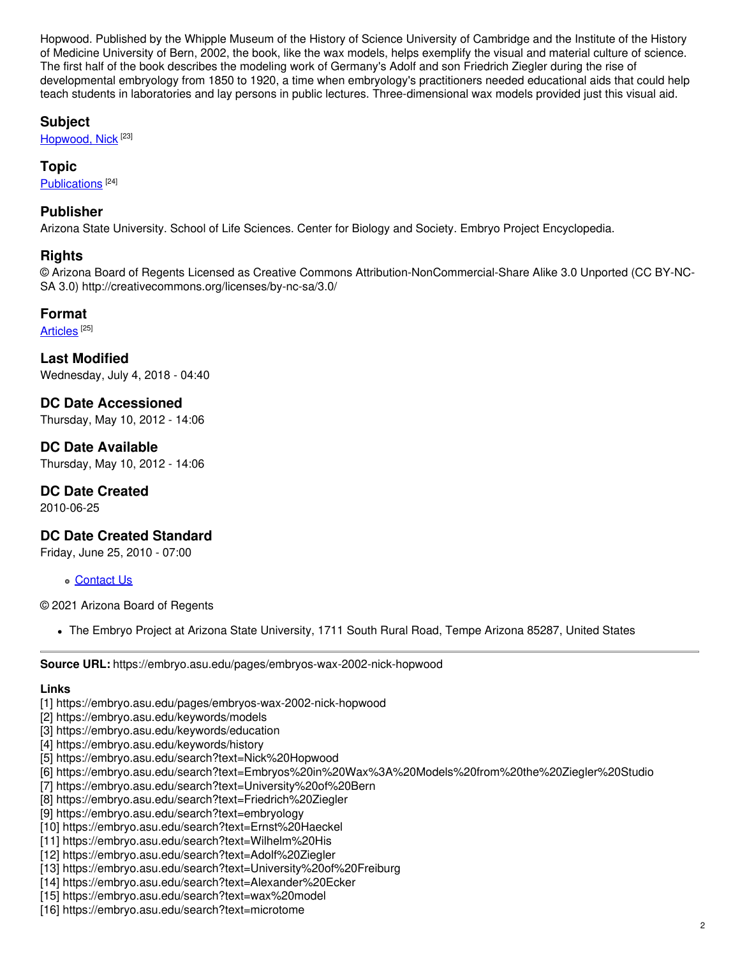Hopwood. Published by the Whipple Museum of the History of Science University of Cambridge and the Institute of the History of Medicine University of Bern, 2002, the book, like the wax models, helps exemplify the visual and material culture of science. The first half of the book describes the modeling work of Germany's Adolf and son Friedrich Ziegler during the rise of developmental embryology from 1850 to 1920, a time when embryology's practitioners needed educational aids that could help teach students in laboratories and lay persons in public lectures. Three-dimensional wax models provided just this visual aid.

#### **Subject**

[Hopwood,](https://embryo.asu.edu/library-congress-subject-headings/hopwood-nick) Nick<sup>[23]</sup>

#### **Topic**

[Publications](https://embryo.asu.edu/topics/publications)<sup>[24]</sup>

#### **Publisher**

Arizona State University. School of Life Sciences. Center for Biology and Society. Embryo Project Encyclopedia.

#### **Rights**

© Arizona Board of Regents Licensed as Creative Commons Attribution-NonCommercial-Share Alike 3.0 Unported (CC BY-NC-SA 3.0) http://creativecommons.org/licenses/by-nc-sa/3.0/

#### **Format**

[Articles](https://embryo.asu.edu/formats/articles)  $^{\left[ 25\right] }$ 

**Last Modified** Wednesday, July 4, 2018 - 04:40

**DC Date Accessioned** Thursday, May 10, 2012 - 14:06

**DC Date Available** Thursday, May 10, 2012 - 14:06

### **DC Date Created**

2010-06-25

### **DC Date Created Standard**

Friday, June 25, 2010 - 07:00

[Contact](https://embryo.asu.edu/contact) Us

© 2021 Arizona Board of Regents

The Embryo Project at Arizona State University, 1711 South Rural Road, Tempe Arizona 85287, United States

**Source URL:** https://embryo.asu.edu/pages/embryos-wax-2002-nick-hopwood

#### **Links**

- [1] https://embryo.asu.edu/pages/embryos-wax-2002-nick-hopwood
- [2] https://embryo.asu.edu/keywords/models
- [3] https://embryo.asu.edu/keywords/education
- [4] https://embryo.asu.edu/keywords/history
- [5] https://embryo.asu.edu/search?text=Nick%20Hopwood
- [6] https://embryo.asu.edu/search?text=Embryos%20in%20Wax%3A%20Models%20from%20the%20Ziegler%20Studio
- [7] https://embryo.asu.edu/search?text=University%20of%20Bern
- [8] https://embryo.asu.edu/search?text=Friedrich%20Ziegler
- [9] https://embryo.asu.edu/search?text=embryology
- [10] https://embryo.asu.edu/search?text=Ernst%20Haeckel
- [11] https://embryo.asu.edu/search?text=Wilhelm%20His
- [12] https://embryo.asu.edu/search?text=Adolf%20Ziegler
- [13] https://embryo.asu.edu/search?text=University%20of%20Freiburg
- [14] https://embryo.asu.edu/search?text=Alexander%20Ecker
- [15] https://embryo.asu.edu/search?text=wax%20model
- [16] https://embryo.asu.edu/search?text=microtome